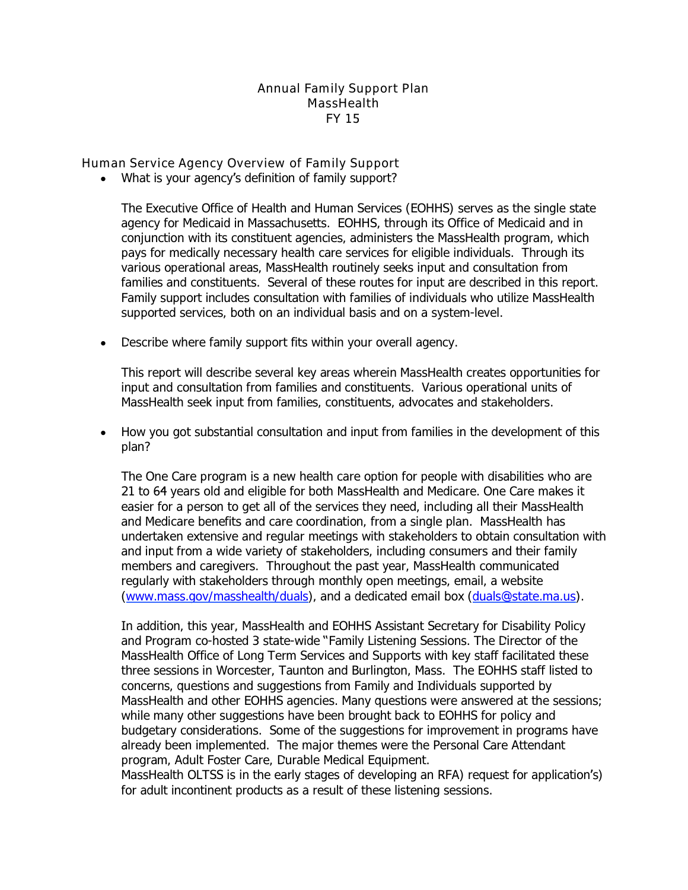Annual Family Support Plan **MassHealth** FY 15

Human Service Agency Overview of Family Support

What is your agency's definition of family support?

The Executive Office of Health and Human Services (EOHHS) serves as the single state agency for Medicaid in Massachusetts. EOHHS, through its Office of Medicaid and in conjunction with its constituent agencies, administers the MassHealth program, which pays for medically necessary health care services for eligible individuals. Through its various operational areas, MassHealth routinely seeks input and consultation from families and constituents. Several of these routes for input are described in this report. Family support includes consultation with families of individuals who utilize MassHealth supported services, both on an individual basis and on a system-level.

• Describe where family support fits within your overall agency.

This report will describe several key areas wherein MassHealth creates opportunities for input and consultation from families and constituents. Various operational units of MassHealth seek input from families, constituents, advocates and stakeholders.

• How you got substantial consultation and input from families in the development of this plan?

The One Care program is a new health care option for people with disabilities who are 21 to 64 years old and eligible for both MassHealth and Medicare. One Care makes it easier for a person to get all of the services they need, including all their MassHealth and Medicare benefits and care coordination, from a single plan. MassHealth has undertaken extensive and regular meetings with stakeholders to obtain consultation with and input from a wide variety of stakeholders, including consumers and their family members and caregivers. Throughout the past year, MassHealth communicated regularly with stakeholders through monthly open meetings, email, a website (www.mass.gov/masshealth/duals), and a dedicated email box (duals@state.ma.us).

In addition, this year, MassHealth and EOHHS Assistant Secretary for Disability Policy and Program co-hosted 3 state-wide "Family Listening Sessions. The Director of the MassHealth Office of Long Term Services and Supports with key staff facilitated these three sessions in Worcester, Taunton and Burlington, Mass. The EOHHS staff listed to concerns, questions and suggestions from Family and Individuals supported by MassHealth and other EOHHS agencies. Many questions were answered at the sessions; while many other suggestions have been brought back to EOHHS for policy and budgetary considerations. Some of the suggestions for improvement in programs have already been implemented. The major themes were the Personal Care Attendant program, Adult Foster Care, Durable Medical Equipment.

MassHealth OLTSS is in the early stages of developing an RFA) request for application's) for adult incontinent products as a result of these listening sessions.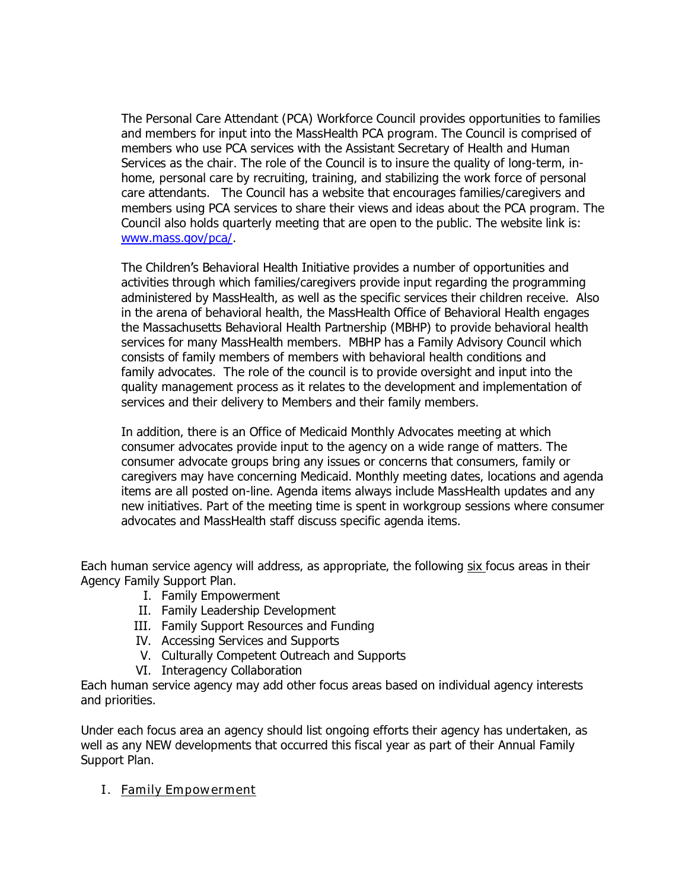The Personal Care Attendant (PCA) Workforce Council provides opportunities to families and members for input into the MassHealth PCA program. The Council is comprised of members who use PCA services with the Assistant Secretary of Health and Human Services as the chair. The role of the Council is to insure the quality of long-term, inhome, personal care by recruiting, training, and stabilizing the work force of personal care attendants. The Council has a website that encourages families/caregivers and members using PCA services to share their views and ideas about the PCA program. The Council also holds quarterly meeting that are open to the public. The website link is: www.mass.gov/pca/.

The Children's Behavioral Health Initiative provides a number of opportunities and activities through which families/caregivers provide input regarding the programming administered by MassHealth, as well as the specific services their children receive. Also in the arena of behavioral health, the MassHealth Office of Behavioral Health engages the Massachusetts Behavioral Health Partnership (MBHP) to provide behavioral health services for many MassHealth members. MBHP has a Family Advisory Council which consists of family members of members with behavioral health conditions and family advocates. The role of the council is to provide oversight and input into the quality management process as it relates to the development and implementation of services and their delivery to Members and their family members.

In addition, there is an Office of Medicaid Monthly Advocates meeting at which consumer advocates provide input to the agency on a wide range of matters. The consumer advocate groups bring any issues or concerns that consumers, family or caregivers may have concerning Medicaid. Monthly meeting dates, locations and agenda items are all posted on-line. Agenda items always include MassHealth updates and any new initiatives. Part of the meeting time is spent in workgroup sessions where consumer advocates and MassHealth staff discuss specific agenda items.

Each human service agency will address, as appropriate, the following six focus areas in their Agency Family Support Plan.

- I. Family Empowerment
- II. Family Leadership Development
- III. Family Support Resources and Funding
- IV. Accessing Services and Supports
- V. Culturally Competent Outreach and Supports
- VI. Interagency Collaboration

Each human service agency may add other focus areas based on individual agency interests and priorities.

Under each focus area an agency should list ongoing efforts their agency has undertaken, as well as any NEW developments that occurred this fiscal year as part of their Annual Family Support Plan.

I. Family Empowerment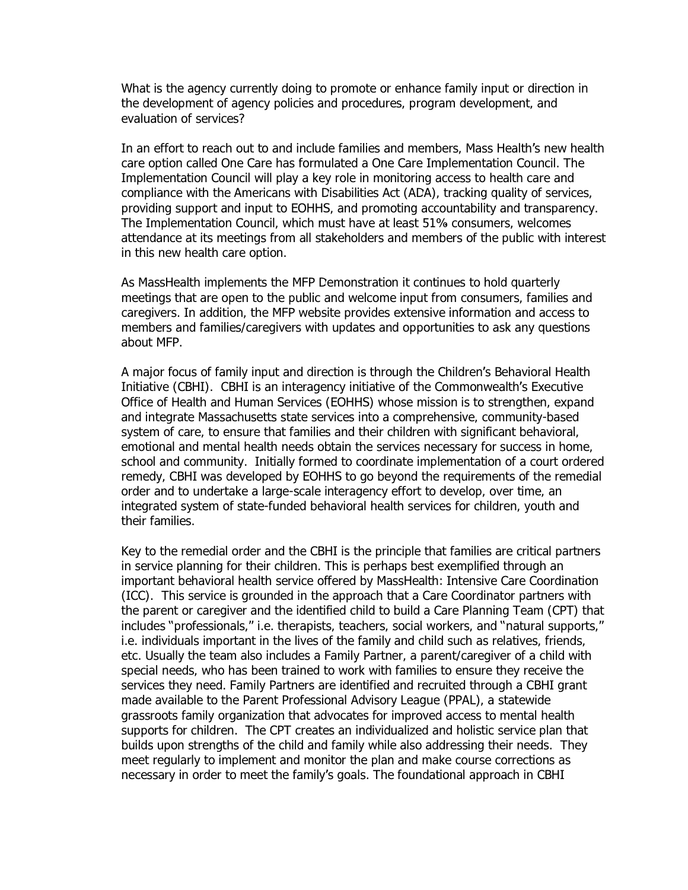What is the agency currently doing to promote or enhance family input or direction in the development of agency policies and procedures, program development, and evaluation of services?

In an effort to reach out to and include families and members, Mass Health's new health care option called One Care has formulated a One Care Implementation Council. The Implementation Council will play a key role in monitoring access to health care and compliance with the Americans with Disabilities Act (ADA), tracking quality of services, providing support and input to EOHHS, and promoting accountability and transparency. The Implementation Council, which must have at least 51% consumers, welcomes attendance at its meetings from all stakeholders and members of the public with interest in this new health care option.

As MassHealth implements the MFP Demonstration it continues to hold quarterly meetings that are open to the public and welcome input from consumers, families and caregivers. In addition, the MFP website provides extensive information and access to members and families/caregivers with updates and opportunities to ask any questions about MFP.

A major focus of family input and direction is through the Children's Behavioral Health Initiative (CBHI). CBHI is an interagency initiative of the Commonwealth's Executive Office of Health and Human Services (EOHHS) whose mission is to strengthen, expand and integrate Massachusetts state services into a comprehensive, community-based system of care, to ensure that families and their children with significant behavioral, emotional and mental health needs obtain the services necessary for success in home, school and community. Initially formed to coordinate implementation of a court ordered remedy, CBHI was developed by EOHHS to go beyond the requirements of the remedial order and to undertake a large-scale interagency effort to develop, over time, an integrated system of state-funded behavioral health services for children, youth and their families.

Key to the remedial order and the CBHI is the principle that families are critical partners in service planning for their children. This is perhaps best exemplified through an important behavioral health service offered by MassHealth: Intensive Care Coordination (ICC). This service is grounded in the approach that a Care Coordinator partners with the parent or caregiver and the identified child to build a Care Planning Team (CPT) that includes "professionals," i.e. therapists, teachers, social workers, and "natural supports," i.e. individuals important in the lives of the family and child such as relatives, friends, etc. Usually the team also includes a Family Partner, a parent/caregiver of a child with special needs, who has been trained to work with families to ensure they receive the services they need. Family Partners are identified and recruited through a CBHI grant made available to the Parent Professional Advisory League (PPAL), a statewide grassroots family organization that advocates for improved access to mental health supports for children. The CPT creates an individualized and holistic service plan that builds upon strengths of the child and family while also addressing their needs. They meet regularly to implement and monitor the plan and make course corrections as necessary in order to meet the family's goals. The foundational approach in CBHI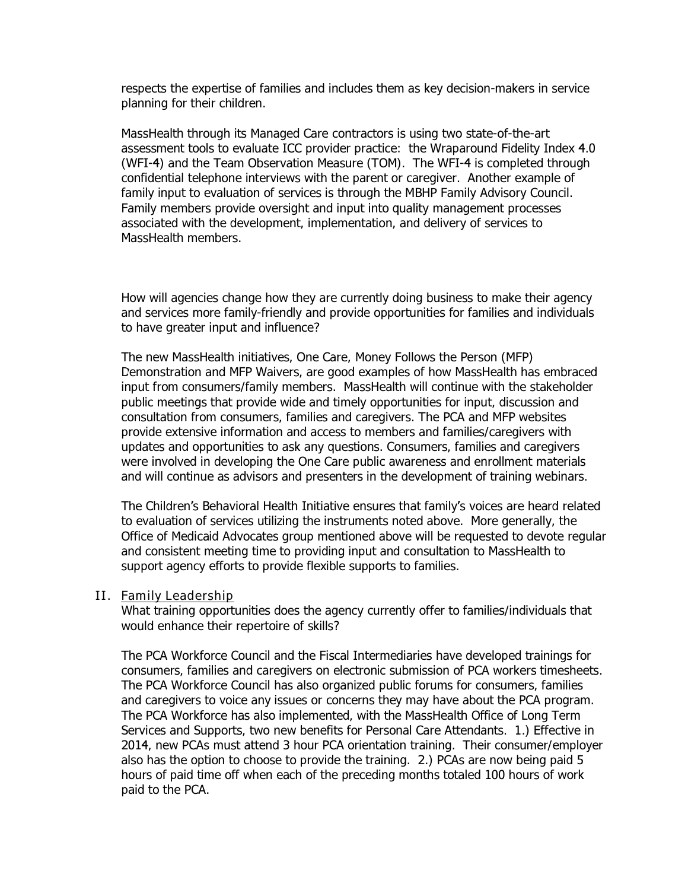respects the expertise of families and includes them as key decision-makers in service planning for their children.

MassHealth through its Managed Care contractors is using two state-of-the-art assessment tools to evaluate ICC provider practice: the Wraparound Fidelity Index 4.0 (WFI-4) and the Team Observation Measure (TOM). The WFI-4 is completed through confidential telephone interviews with the parent or caregiver. Another example of family input to evaluation of services is through the MBHP Family Advisory Council. Family members provide oversight and input into quality management processes associated with the development, implementation, and delivery of services to MassHealth members.

How will agencies change how they are currently doing business to make their agency and services more family-friendly and provide opportunities for families and individuals to have greater input and influence?

The new MassHealth initiatives, One Care, Money Follows the Person (MFP) Demonstration and MFP Waivers, are good examples of how MassHealth has embraced input from consumers/family members. MassHealth will continue with the stakeholder public meetings that provide wide and timely opportunities for input, discussion and consultation from consumers, families and caregivers. The PCA and MFP websites provide extensive information and access to members and families/caregivers with updates and opportunities to ask any questions. Consumers, families and caregivers were involved in developing the One Care public awareness and enrollment materials and will continue as advisors and presenters in the development of training webinars.

The Children's Behavioral Health Initiative ensures that family's voices are heard related to evaluation of services utilizing the instruments noted above. More generally, the Office of Medicaid Advocates group mentioned above will be requested to devote regular and consistent meeting time to providing input and consultation to MassHealth to support agency efforts to provide flexible supports to families.

### II. Family Leadership

What training opportunities does the agency currently offer to families/individuals that would enhance their repertoire of skills?

The PCA Workforce Council and the Fiscal Intermediaries have developed trainings for consumers, families and caregivers on electronic submission of PCA workers timesheets. The PCA Workforce Council has also organized public forums for consumers, families and caregivers to voice any issues or concerns they may have about the PCA program. The PCA Workforce has also implemented, with the MassHealth Office of Long Term Services and Supports, two new benefits for Personal Care Attendants. 1.) Effective in 2014, new PCAs must attend 3 hour PCA orientation training. Their consumer/employer also has the option to choose to provide the training. 2.) PCAs are now being paid 5 hours of paid time off when each of the preceding months totaled 100 hours of work paid to the PCA.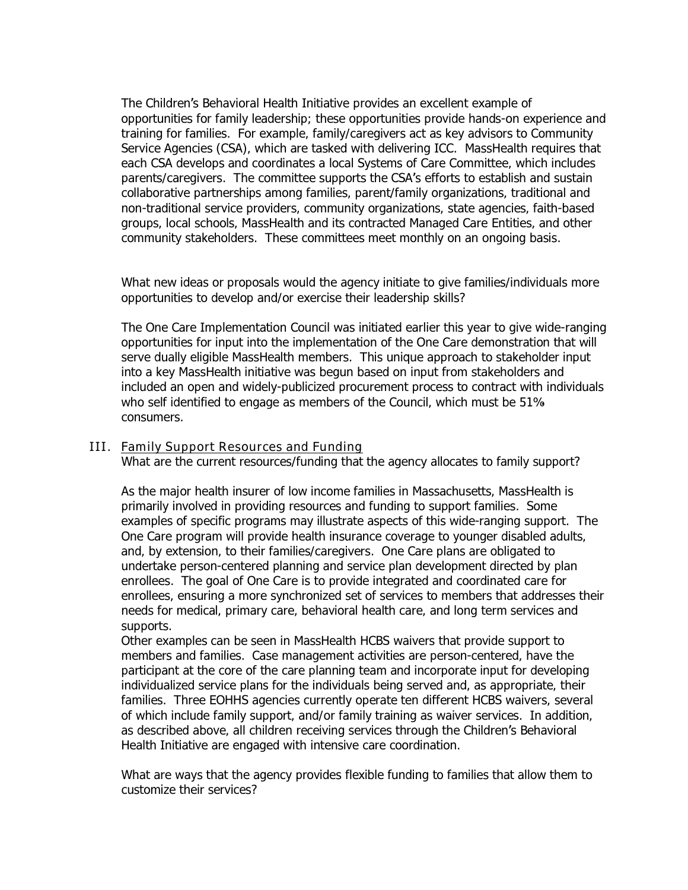The Children's Behavioral Health Initiative provides an excellent example of opportunities for family leadership; these opportunities provide hands-on experience and training for families. For example, family/caregivers act as key advisors to Community Service Agencies (CSA), which are tasked with delivering ICC. MassHealth requires that each CSA develops and coordinates a local Systems of Care Committee, which includes parents/caregivers. The committee supports the CSA's efforts to establish and sustain collaborative partnerships among families, parent/family organizations, traditional and non-traditional service providers, community organizations, state agencies, faith-based groups, local schools, MassHealth and its contracted Managed Care Entities, and other community stakeholders. These committees meet monthly on an ongoing basis.

What new ideas or proposals would the agency initiate to give families/individuals more opportunities to develop and/or exercise their leadership skills?

The One Care Implementation Council was initiated earlier this year to give wide-ranging opportunities for input into the implementation of the One Care demonstration that will serve dually eligible MassHealth members. This unique approach to stakeholder input into a key MassHealth initiative was begun based on input from stakeholders and included an open and widely-publicized procurement process to contract with individuals who self identified to engage as members of the Council, which must be 51% consumers.

# III. Family Support Resources and Funding

What are the current resources/funding that the agency allocates to family support?

As the major health insurer of low income families in Massachusetts, MassHealth is primarily involved in providing resources and funding to support families. Some examples of specific programs may illustrate aspects of this wide-ranging support. The One Care program will provide health insurance coverage to younger disabled adults, and, by extension, to their families/caregivers. One Care plans are obligated to undertake person-centered planning and service plan development directed by plan enrollees. The goal of One Care is to provide integrated and coordinated care for enrollees, ensuring a more synchronized set of services to members that addresses their needs for medical, primary care, behavioral health care, and long term services and supports.

Other examples can be seen in MassHealth HCBS waivers that provide support to members and families. Case management activities are person-centered, have the participant at the core of the care planning team and incorporate input for developing individualized service plans for the individuals being served and, as appropriate, their families. Three EOHHS agencies currently operate ten different HCBS waivers, several of which include family support, and/or family training as waiver services. In addition, as described above, all children receiving services through the Children's Behavioral Health Initiative are engaged with intensive care coordination.

What are ways that the agency provides flexible funding to families that allow them to customize their services?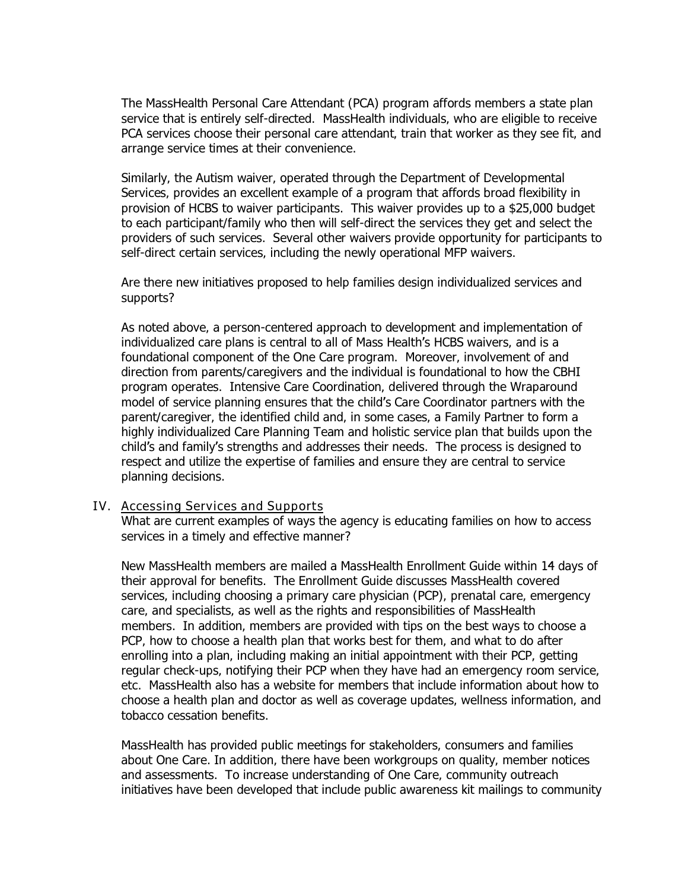The MassHealth Personal Care Attendant (PCA) program affords members a state plan service that is entirely self-directed. MassHealth individuals, who are eligible to receive PCA services choose their personal care attendant, train that worker as they see fit, and arrange service times at their convenience.

Similarly, the Autism waiver, operated through the Department of Developmental Services, provides an excellent example of a program that affords broad flexibility in provision of HCBS to waiver participants. This waiver provides up to a \$25,000 budget to each participant/family who then will self-direct the services they get and select the providers of such services. Several other waivers provide opportunity for participants to self-direct certain services, including the newly operational MFP waivers.

Are there new initiatives proposed to help families design individualized services and supports?

As noted above, a person-centered approach to development and implementation of individualized care plans is central to all of Mass Health's HCBS waivers, and is a foundational component of the One Care program. Moreover, involvement of and direction from parents/caregivers and the individual is foundational to how the CBHI program operates. Intensive Care Coordination, delivered through the Wraparound model of service planning ensures that the child's Care Coordinator partners with the parent/caregiver, the identified child and, in some cases, a Family Partner to form a highly individualized Care Planning Team and holistic service plan that builds upon the child's and family's strengths and addresses their needs. The process is designed to respect and utilize the expertise of families and ensure they are central to service planning decisions.

### IV. Accessing Services and Supports

What are current examples of ways the agency is educating families on how to access services in a timely and effective manner?

New MassHealth members are mailed a MassHealth Enrollment Guide within 14 days of their approval for benefits. The Enrollment Guide discusses MassHealth covered services, including choosing a primary care physician (PCP), prenatal care, emergency care, and specialists, as well as the rights and responsibilities of MassHealth members. In addition, members are provided with tips on the best ways to choose a PCP, how to choose a health plan that works best for them, and what to do after enrolling into a plan, including making an initial appointment with their PCP, getting regular check-ups, notifying their PCP when they have had an emergency room service, etc. MassHealth also has a website for members that include information about how to choose a health plan and doctor as well as coverage updates, wellness information, and tobacco cessation benefits.

MassHealth has provided public meetings for stakeholders, consumers and families about One Care. In addition, there have been workgroups on quality, member notices and assessments. To increase understanding of One Care, community outreach initiatives have been developed that include public awareness kit mailings to community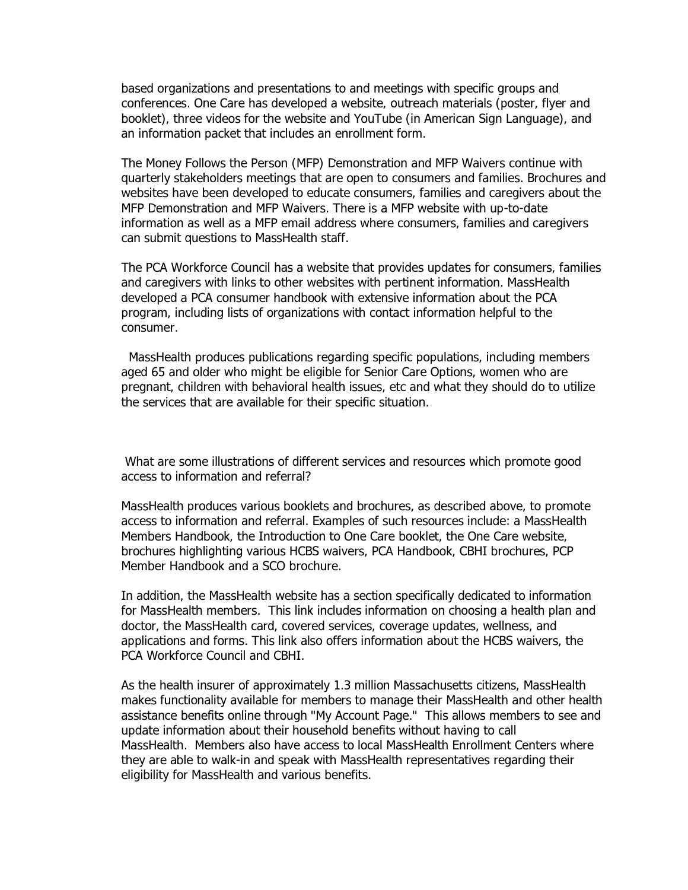based organizations and presentations to and meetings with specific groups and conferences. One Care has developed a website, outreach materials (poster, flyer and booklet), three videos for the website and YouTube (in American Sign Language), and an information packet that includes an enrollment form.

The Money Follows the Person (MFP) Demonstration and MFP Waivers continue with quarterly stakeholders meetings that are open to consumers and families. Brochures and websites have been developed to educate consumers, families and caregivers about the MFP Demonstration and MFP Waivers. There is a MFP website with up-to-date information as well as a MFP email address where consumers, families and caregivers can submit questions to MassHealth staff.

The PCA Workforce Council has a website that provides updates for consumers, families and caregivers with links to other websites with pertinent information. MassHealth developed a PCA consumer handbook with extensive information about the PCA program, including lists of organizations with contact information helpful to the consumer.

 MassHealth produces publications regarding specific populations, including members aged 65 and older who might be eligible for Senior Care Options, women who are pregnant, children with behavioral health issues, etc and what they should do to utilize the services that are available for their specific situation.

 What are some illustrations of different services and resources which promote good access to information and referral?

MassHealth produces various booklets and brochures, as described above, to promote access to information and referral. Examples of such resources include: a MassHealth Members Handbook, the Introduction to One Care booklet, the One Care website, brochures highlighting various HCBS waivers, PCA Handbook, CBHI brochures, PCP Member Handbook and a SCO brochure.

In addition, the MassHealth website has a section specifically dedicated to information for MassHealth members. This link includes information on choosing a health plan and doctor, the MassHealth card, covered services, coverage updates, wellness, and applications and forms. This link also offers information about the HCBS waivers, the PCA Workforce Council and CBHI.

As the health insurer of approximately 1.3 million Massachusetts citizens, MassHealth makes functionality available for members to manage their MassHealth and other health assistance benefits online through "My Account Page." This allows members to see and update information about their household benefits without having to call MassHealth. Members also have access to local MassHealth Enrollment Centers where they are able to walk-in and speak with MassHealth representatives regarding their eligibility for MassHealth and various benefits.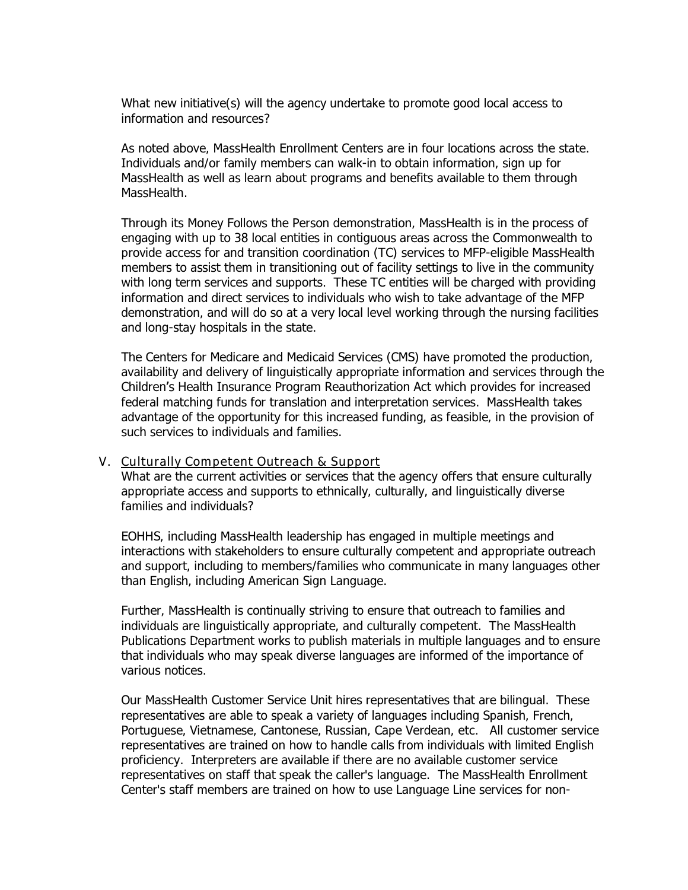What new initiative(s) will the agency undertake to promote good local access to information and resources?

As noted above, MassHealth Enrollment Centers are in four locations across the state. Individuals and/or family members can walk-in to obtain information, sign up for MassHealth as well as learn about programs and benefits available to them through MassHealth.

Through its Money Follows the Person demonstration, MassHealth is in the process of engaging with up to 38 local entities in contiguous areas across the Commonwealth to provide access for and transition coordination (TC) services to MFP-eligible MassHealth members to assist them in transitioning out of facility settings to live in the community with long term services and supports. These TC entities will be charged with providing information and direct services to individuals who wish to take advantage of the MFP demonstration, and will do so at a very local level working through the nursing facilities and long-stay hospitals in the state.

The Centers for Medicare and Medicaid Services (CMS) have promoted the production, availability and delivery of linguistically appropriate information and services through the Children's Health Insurance Program Reauthorization Act which provides for increased federal matching funds for translation and interpretation services. MassHealth takes advantage of the opportunity for this increased funding, as feasible, in the provision of such services to individuals and families.

#### V. Culturally Competent Outreach & Support

What are the current activities or services that the agency offers that ensure culturally appropriate access and supports to ethnically, culturally, and linguistically diverse families and individuals?

EOHHS, including MassHealth leadership has engaged in multiple meetings and interactions with stakeholders to ensure culturally competent and appropriate outreach and support, including to members/families who communicate in many languages other than English, including American Sign Language.

Further, MassHealth is continually striving to ensure that outreach to families and individuals are linguistically appropriate, and culturally competent. The MassHealth Publications Department works to publish materials in multiple languages and to ensure that individuals who may speak diverse languages are informed of the importance of various notices.

Our MassHealth Customer Service Unit hires representatives that are bilingual. These representatives are able to speak a variety of languages including Spanish, French, Portuguese, Vietnamese, Cantonese, Russian, Cape Verdean, etc. All customer service representatives are trained on how to handle calls from individuals with limited English proficiency. Interpreters are available if there are no available customer service representatives on staff that speak the caller's language. The MassHealth Enrollment Center's staff members are trained on how to use Language Line services for non-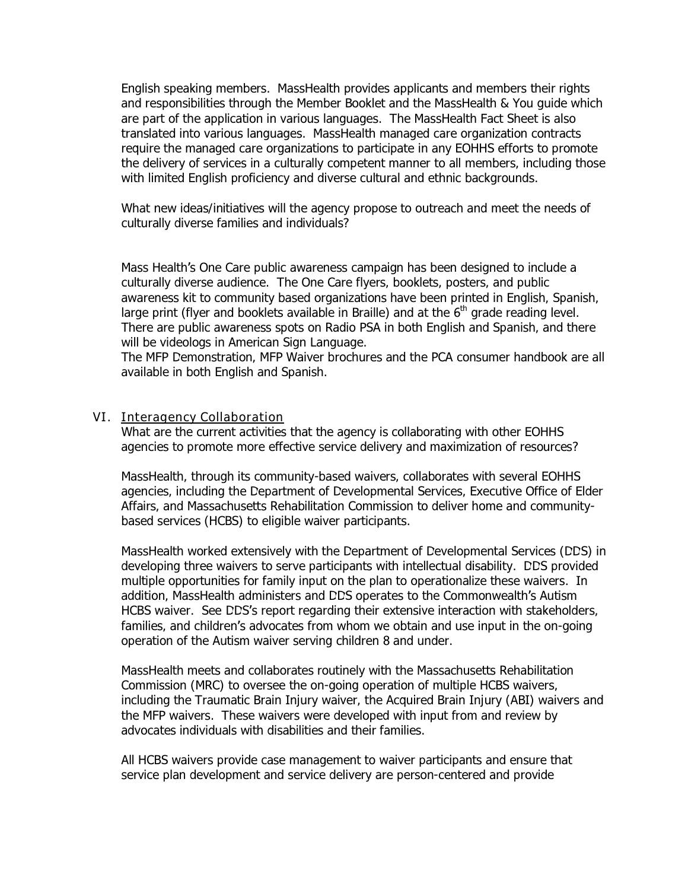English speaking members. MassHealth provides applicants and members their rights and responsibilities through the Member Booklet and the MassHealth & You guide which are part of the application in various languages. The MassHealth Fact Sheet is also translated into various languages. MassHealth managed care organization contracts require the managed care organizations to participate in any EOHHS efforts to promote the delivery of services in a culturally competent manner to all members, including those with limited English proficiency and diverse cultural and ethnic backgrounds.

What new ideas/initiatives will the agency propose to outreach and meet the needs of culturally diverse families and individuals?

Mass Health's One Care public awareness campaign has been designed to include a culturally diverse audience. The One Care flyers, booklets, posters, and public awareness kit to community based organizations have been printed in English, Spanish, large print (flyer and booklets available in Braille) and at the  $6<sup>th</sup>$  grade reading level. There are public awareness spots on Radio PSA in both English and Spanish, and there will be videologs in American Sign Language.

The MFP Demonstration, MFP Waiver brochures and the PCA consumer handbook are all available in both English and Spanish.

### VI. Interagency Collaboration

What are the current activities that the agency is collaborating with other EOHHS agencies to promote more effective service delivery and maximization of resources?

MassHealth, through its community-based waivers, collaborates with several EOHHS agencies, including the Department of Developmental Services, Executive Office of Elder Affairs, and Massachusetts Rehabilitation Commission to deliver home and communitybased services (HCBS) to eligible waiver participants.

MassHealth worked extensively with the Department of Developmental Services (DDS) in developing three waivers to serve participants with intellectual disability. DDS provided multiple opportunities for family input on the plan to operationalize these waivers. In addition, MassHealth administers and DDS operates to the Commonwealth's Autism HCBS waiver. See DDS's report regarding their extensive interaction with stakeholders, families, and children's advocates from whom we obtain and use input in the on-going operation of the Autism waiver serving children 8 and under.

MassHealth meets and collaborates routinely with the Massachusetts Rehabilitation Commission (MRC) to oversee the on-going operation of multiple HCBS waivers, including the Traumatic Brain Injury waiver, the Acquired Brain Injury (ABI) waivers and the MFP waivers. These waivers were developed with input from and review by advocates individuals with disabilities and their families.

All HCBS waivers provide case management to waiver participants and ensure that service plan development and service delivery are person-centered and provide